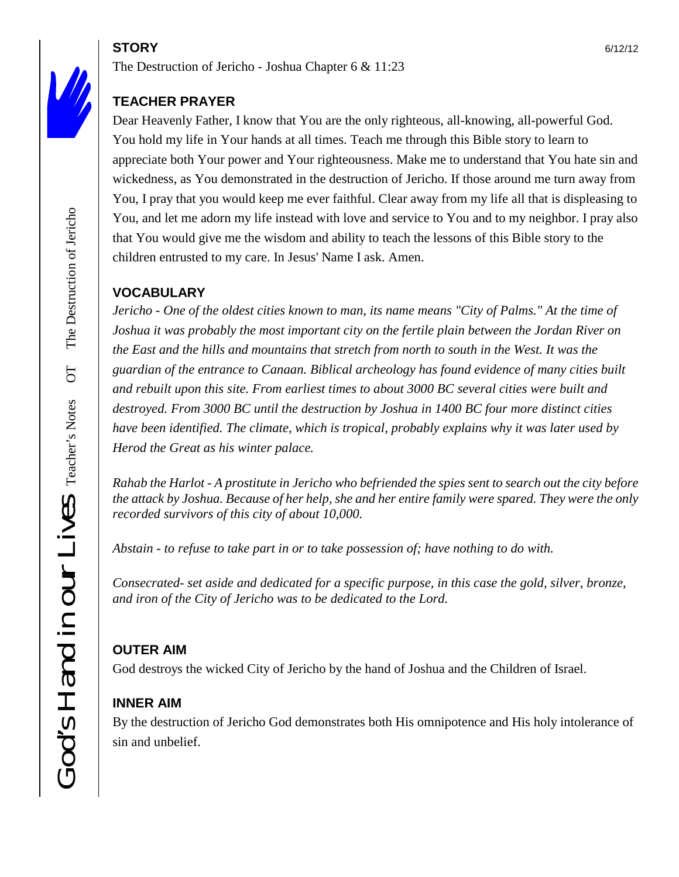# **STORY** 6/12/12

The Destruction of Jericho - Joshua Chapter 6 & 11:23

## **TEACHER PRAYER**

Dear Heavenly Father, I know that You are the only righteous, all-knowing, all-powerful God. You hold my life in Your hands at all times. Teach me through this Bible story to learn to appreciate both Your power and Your righteousness. Make me to understand that You hate sin and wickedness, as You demonstrated in the destruction of Jericho. If those around me turn away from You, I pray that you would keep me ever faithful. Clear away from my life all that is displeasing to You, and let me adorn my life instead with love and service to You and to my neighbor. I pray also that You would give me the wisdom and ability to teach the lessons of this Bible story to the children entrusted to my care. In Jesus' Name I ask. Amen.

## **VOCABULARY**

*Jericho - One of the oldest cities known to man, its name means "City of Palms." At the time of Joshua it was probably the most important city on the fertile plain between the Jordan River on the East and the hills and mountains that stretch from north to south in the West. It was the guardian of the entrance to Canaan. Biblical archeology has found evidence of many cities built and rebuilt upon this site. From earliest times to about 3000 BC several cities were built and destroyed. From 3000 BC until the destruction by Joshua in 1400 BC four more distinct cities have been identified. The climate, which is tropical, probably explains why it was later used by Herod the Great as his winter palace.*

*Rahab the Harlot - A prostitute in Jericho who befriended the spies sent to search out the city before the attack by Joshua. Because of her help, she and her entire family were spared. They were the only recorded survivors of this city of about 10,000.*

*Abstain - to refuse to take part in or to take possession of; have nothing to do with.*

*Consecrated- set aside and dedicated for a specific purpose, in this case the gold, silver, bronze, and iron of the City of Jericho was to be dedicated to the Lord.*

## **OUTER AIM**

God destroys the wicked City of Jericho by the hand of Joshua and the Children of Israel.

## **INNER AIM**

By the destruction of Jericho God demonstrates both His omnipotence and His holy intolerance of sin and unbelief.

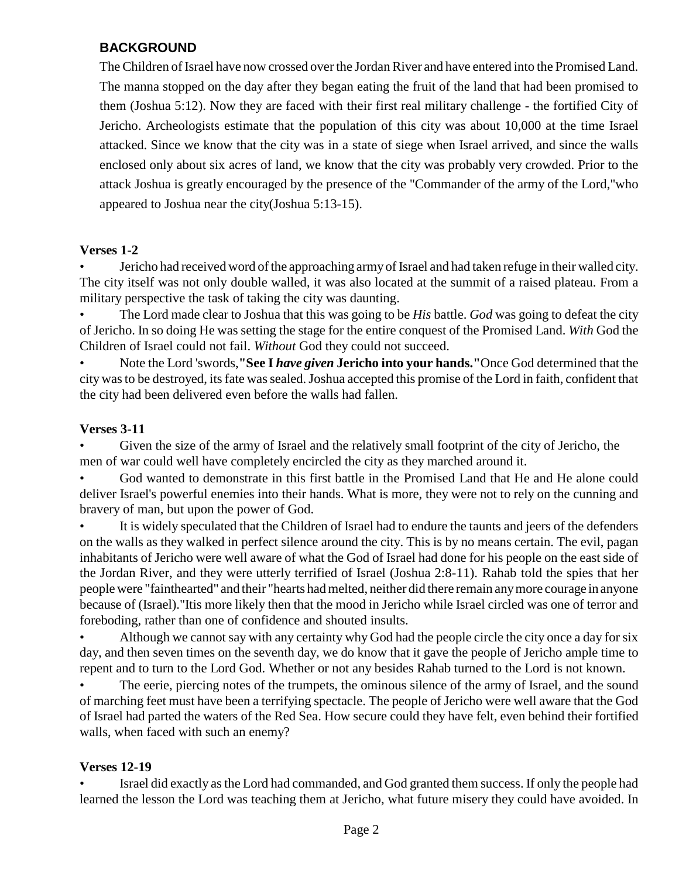### **BACKGROUND**

The Children of Israel have now crossed over the Jordan River and have entered into the Promised Land. The manna stopped on the day after they began eating the fruit of the land that had been promised to them (Joshua 5:12). Now they are faced with their first real military challenge - the fortified City of Jericho. Archeologists estimate that the population of this city was about 10,000 at the time Israel attacked. Since we know that the city was in a state of siege when Israel arrived, and since the walls enclosed only about six acres of land, we know that the city was probably very crowded. Prior to the attack Joshua is greatly encouraged by the presence of the "Commander of the army of the Lord,"who appeared to Joshua near the city(Joshua 5:13-15).

#### **Verses 1-2**

• Jericho had received word of the approaching army of Israel and had taken refuge in their walled city. The city itself was not only double walled, it was also located at the summit of a raised plateau. From a military perspective the task of taking the city was daunting.

• The Lord made clear to Joshua that this was going to be *His* battle. *God* was going to defeat the city of Jericho. In so doing He was setting the stage for the entire conquest of the Promised Land. *With* God the Children of Israel could not fail. *Without* God they could not succeed.

• Note the Lord 'swords,**"See I** *have given* **Jericho into your hands."**Once God determined that the city was to be destroyed, its fate was sealed. Joshua accepted this promise of the Lord in faith, confident that the city had been delivered even before the walls had fallen.

#### **Verses 3-11**

• Given the size of the army of Israel and the relatively small footprint of the city of Jericho, the men of war could well have completely encircled the city as they marched around it.

• God wanted to demonstrate in this first battle in the Promised Land that He and He alone could deliver Israel's powerful enemies into their hands. What is more, they were not to rely on the cunning and bravery of man, but upon the power of God.

It is widely speculated that the Children of Israel had to endure the taunts and jeers of the defenders on the walls as they walked in perfect silence around the city. This is by no means certain. The evil, pagan inhabitants of Jericho were well aware of what the God of Israel had done for his people on the east side of the Jordan River, and they were utterly terrified of Israel (Joshua 2:8-11). Rahab told the spies that her people were "fainthearted" and their "hearts had melted, neither did there remain anymore courage in anyone because of (Israel)."Itis more likely then that the mood in Jericho while Israel circled was one of terror and foreboding, rather than one of confidence and shouted insults.

• Although we cannot say with any certainty why God had the people circle the city once a day for six day, and then seven times on the seventh day, we do know that it gave the people of Jericho ample time to repent and to turn to the Lord God. Whether or not any besides Rahab turned to the Lord is not known.

The eerie, piercing notes of the trumpets, the ominous silence of the army of Israel, and the sound of marching feet must have been a terrifying spectacle. The people of Jericho were well aware that the God of Israel had parted the waters of the Red Sea. How secure could they have felt, even behind their fortified walls, when faced with such an enemy?

#### **Verses 12-19**

• Israel did exactly as the Lord had commanded, and God granted them success. If only the people had learned the lesson the Lord was teaching them at Jericho, what future misery they could have avoided. In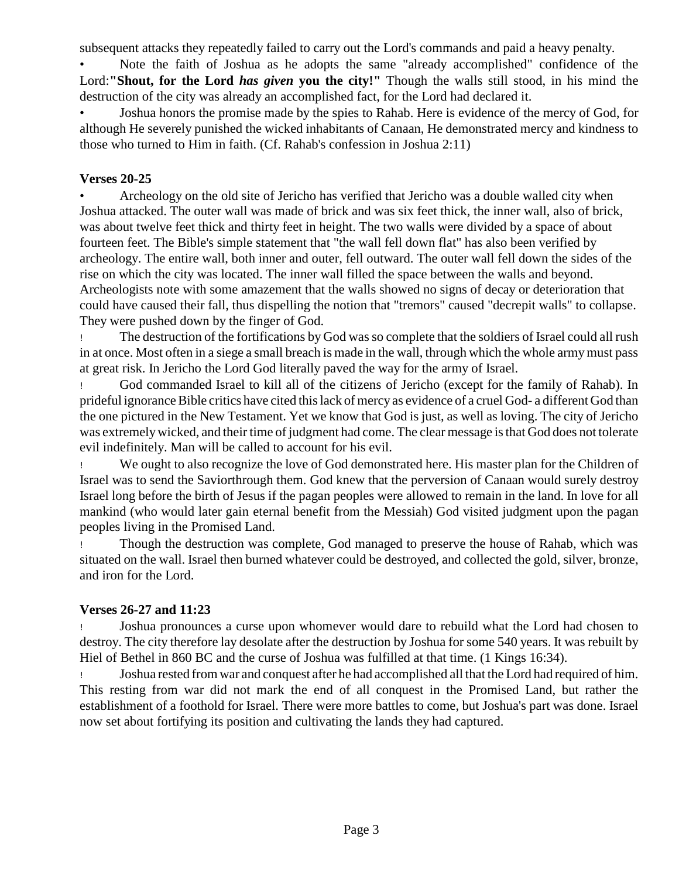subsequent attacks they repeatedly failed to carry out the Lord's commands and paid a heavy penalty.

• Note the faith of Joshua as he adopts the same "already accomplished" confidence of the Lord:**"Shout, for the Lord** *has given* **you the city!"** Though the walls still stood, in his mind the destruction of the city was already an accomplished fact, for the Lord had declared it.

• Joshua honors the promise made by the spies to Rahab. Here is evidence of the mercy of God, for although He severely punished the wicked inhabitants of Canaan, He demonstrated mercy and kindness to those who turned to Him in faith. (Cf. Rahab's confession in Joshua 2:11)

#### **Verses 20-25**

• Archeology on the old site of Jericho has verified that Jericho was a double walled city when Joshua attacked. The outer wall was made of brick and was six feet thick, the inner wall, also of brick, was about twelve feet thick and thirty feet in height. The two walls were divided by a space of about fourteen feet. The Bible's simple statement that "the wall fell down flat" has also been verified by archeology. The entire wall, both inner and outer, fell outward. The outer wall fell down the sides of the rise on which the city was located. The inner wall filled the space between the walls and beyond. Archeologists note with some amazement that the walls showed no signs of decay or deterioration that could have caused their fall, thus dispelling the notion that "tremors" caused "decrepit walls" to collapse. They were pushed down by the finger of God.

! The destruction of the fortifications by God was so complete that the soldiers of Israel could all rush in at once. Most often in a siege a small breach is made in the wall, through which the whole armymust pass at great risk. In Jericho the Lord God literally paved the way for the army of Israel.

! God commanded Israel to kill all of the citizens of Jericho (except for the family of Rahab). In prideful ignoranceBible critics have cited this lack of mercy as evidence of a cruel God- a different God than the one pictured in the New Testament. Yet we know that God is just, as well as loving. The city of Jericho was extremelywicked, and their time of judgment had come. The clear message is that God does not tolerate evil indefinitely. Man will be called to account for his evil.

! We ought to also recognize the love of God demonstrated here. His master plan for the Children of Israel was to send the Saviorthrough them. God knew that the perversion of Canaan would surely destroy Israel long before the birth of Jesus if the pagan peoples were allowed to remain in the land. In love for all mankind (who would later gain eternal benefit from the Messiah) God visited judgment upon the pagan peoples living in the Promised Land.

! Though the destruction was complete, God managed to preserve the house of Rahab, which was situated on the wall. Israel then burned whatever could be destroyed, and collected the gold, silver, bronze, and iron for the Lord.

#### **Verses 26-27 and 11:23**

! Joshua pronounces a curse upon whomever would dare to rebuild what the Lord had chosen to destroy. The city therefore lay desolate after the destruction by Joshua for some 540 years. It was rebuilt by Hiel of Bethel in 860 BC and the curse of Joshua was fulfilled at that time. (1 Kings 16:34).

! Joshua rested from war and conquest after he had accomplished all that the Lord had required of him. This resting from war did not mark the end of all conquest in the Promised Land, but rather the establishment of a foothold for Israel. There were more battles to come, but Joshua's part was done. Israel now set about fortifying its position and cultivating the lands they had captured.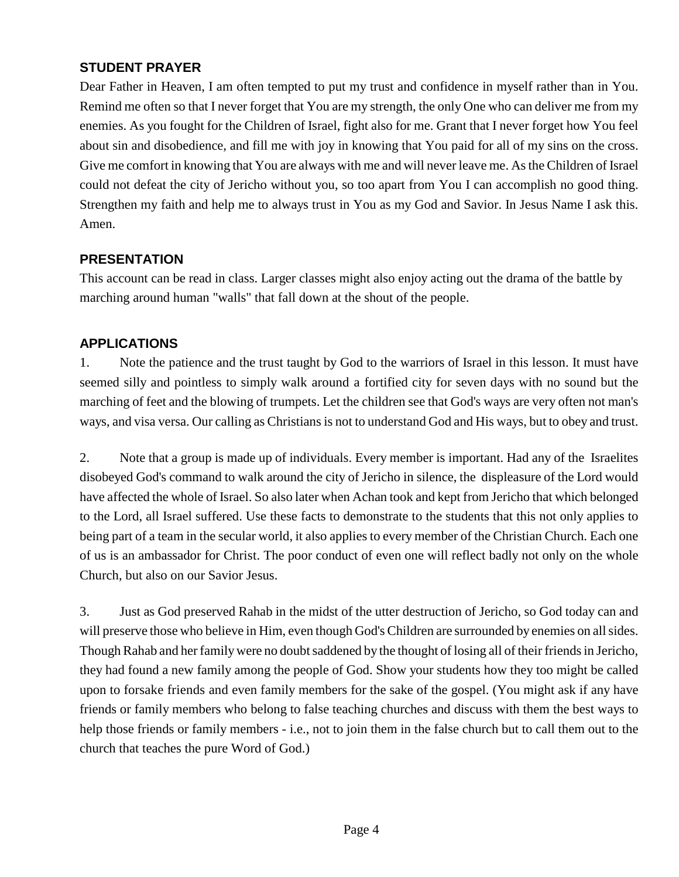#### **STUDENT PRAYER**

Dear Father in Heaven, I am often tempted to put my trust and confidence in myself rather than in You. Remind me often so that I never forget that You are my strength, the only One who can deliver me from my enemies. As you fought for the Children of Israel, fight also for me. Grant that I never forget how You feel about sin and disobedience, and fill me with joy in knowing that You paid for all of my sins on the cross. Give me comfort in knowing that You are always with me and will never leave me. As the Children of Israel could not defeat the city of Jericho without you, so too apart from You I can accomplish no good thing. Strengthen my faith and help me to always trust in You as my God and Savior. In Jesus Name I ask this. Amen.

#### **PRESENTATION**

This account can be read in class. Larger classes might also enjoy acting out the drama of the battle by marching around human "walls" that fall down at the shout of the people.

#### **APPLICATIONS**

1. Note the patience and the trust taught by God to the warriors of Israel in this lesson. It must have seemed silly and pointless to simply walk around a fortified city for seven days with no sound but the marching of feet and the blowing of trumpets. Let the children see that God's ways are very often not man's ways, and visa versa. Our calling as Christians is not to understand God and His ways, but to obey and trust.

2. Note that a group is made up of individuals. Every member is important. Had any of the Israelites disobeyed God's command to walk around the city of Jericho in silence, the displeasure of the Lord would have affected the whole of Israel. So also later when Achan took and kept from Jericho that which belonged to the Lord, all Israel suffered. Use these facts to demonstrate to the students that this not only applies to being part of a team in the secular world, it also applies to every member of the Christian Church. Each one of us is an ambassador for Christ. The poor conduct of even one will reflect badly not only on the whole Church, but also on our Savior Jesus.

3. Just as God preserved Rahab in the midst of the utter destruction of Jericho, so God today can and will preserve those who believe in Him, even though God's Children are surrounded by enemies on all sides. Though Rahab and her familywere no doubt saddened by the thought of losing all of their friends in Jericho, they had found a new family among the people of God. Show your students how they too might be called upon to forsake friends and even family members for the sake of the gospel. (You might ask if any have friends or family members who belong to false teaching churches and discuss with them the best ways to help those friends or family members - i.e., not to join them in the false church but to call them out to the church that teaches the pure Word of God.)